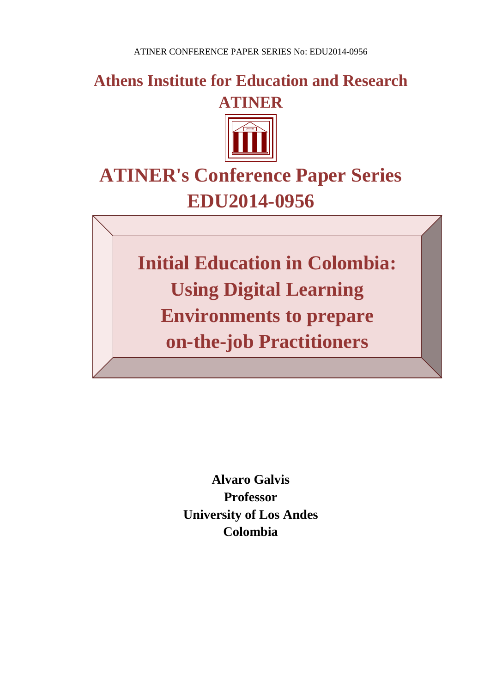**Athens Institute for Education and Research ATINER**



# **ATINER's Conference Paper Series EDU2014-0956**

**Initial Education in Colombia: Using Digital Learning Environments to prepare on-the-job Practitioners**

> **Alvaro Galvis Professor University of Los Andes Colombia**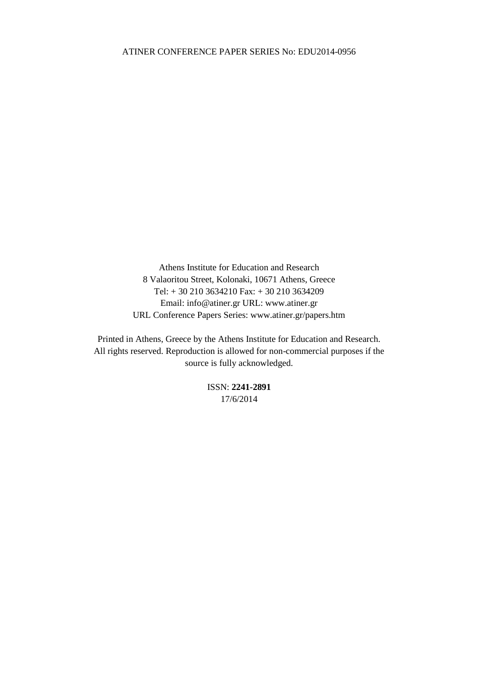Athens Institute for Education and Research 8 Valaoritou Street, Kolonaki, 10671 Athens, Greece Tel: + 30 210 3634210 Fax: + 30 210 3634209 Email: info@atiner.gr URL: www.atiner.gr URL Conference Papers Series: www.atiner.gr/papers.htm

Printed in Athens, Greece by the Athens Institute for Education and Research. All rights reserved. Reproduction is allowed for non-commercial purposes if the source is fully acknowledged.

> ISSN: **2241-2891** 17/6/2014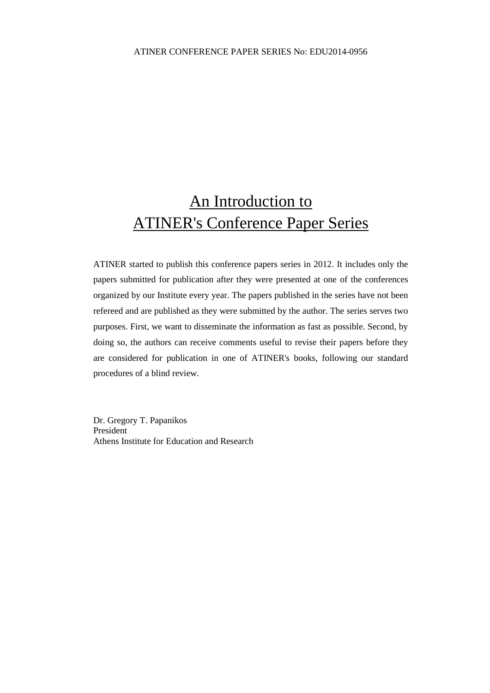## An Introduction to ATINER's Conference Paper Series

ATINER started to publish this conference papers series in 2012. It includes only the papers submitted for publication after they were presented at one of the conferences organized by our Institute every year. The papers published in the series have not been refereed and are published as they were submitted by the author. The series serves two purposes. First, we want to disseminate the information as fast as possible. Second, by doing so, the authors can receive comments useful to revise their papers before they are considered for publication in one of ATINER's books, following our standard procedures of a blind review.

Dr. Gregory T. Papanikos President Athens Institute for Education and Research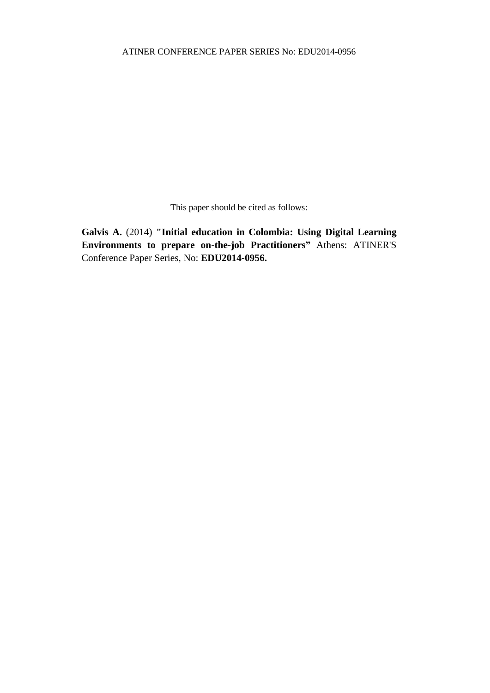This paper should be cited as follows:

**Galvis A.** (2014) **"Initial education in Colombia: Using Digital Learning Environments to prepare on-the-job Practitioners"** Athens: ATINER'S Conference Paper Series, No: **EDU2014-0956.**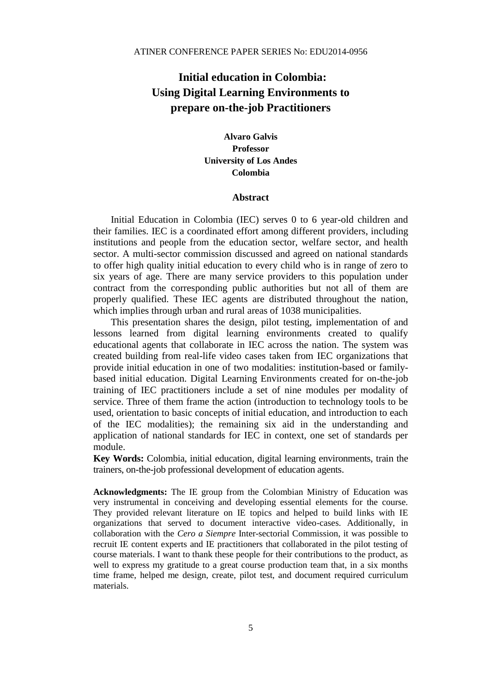### **Initial education in Colombia: Using Digital Learning Environments to prepare on-the-job Practitioners**

**Alvaro Galvis Professor University of Los Andes Colombia**

#### **Abstract**

Initial Education in Colombia (IEC) serves 0 to 6 year-old children and their families. IEC is a coordinated effort among different providers, including institutions and people from the education sector, welfare sector, and health sector. A multi-sector commission discussed and agreed on national standards to offer high quality initial education to every child who is in range of zero to six years of age. There are many service providers to this population under contract from the corresponding public authorities but not all of them are properly qualified. These IEC agents are distributed throughout the nation, which implies through urban and rural areas of 1038 municipalities.

This presentation shares the design, pilot testing, implementation of and lessons learned from digital learning environments created to qualify educational agents that collaborate in IEC across the nation. The system was created building from real-life video cases taken from IEC organizations that provide initial education in one of two modalities: institution-based or familybased initial education. Digital Learning Environments created for on-the-job training of IEC practitioners include a set of nine modules per modality of service. Three of them frame the action (introduction to technology tools to be used, orientation to basic concepts of initial education, and introduction to each of the IEC modalities); the remaining six aid in the understanding and application of national standards for IEC in context, one set of standards per module.

**Key Words:** Colombia, initial education, digital learning environments, train the trainers, on-the-job professional development of education agents.

**Acknowledgments:** The IE group from the Colombian Ministry of Education was very instrumental in conceiving and developing essential elements for the course. They provided relevant literature on IE topics and helped to build links with IE organizations that served to document interactive video-cases. Additionally, in collaboration with the *Cero a Siempre* Inter-sectorial Commission, it was possible to recruit IE content experts and IE practitioners that collaborated in the pilot testing of course materials. I want to thank these people for their contributions to the product, as well to express my gratitude to a great course production team that, in a six months time frame, helped me design, create, pilot test, and document required curriculum materials.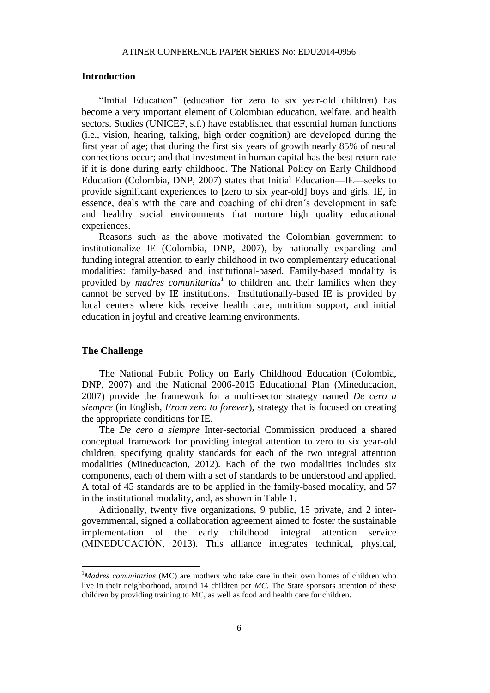#### **Introduction**

"Initial Education" (education for zero to six year-old children) has become a very important element of Colombian education, welfare, and health sectors. Studies (UNICEF, s.f.) have established that essential human functions (i.e., vision, hearing, talking, high order cognition) are developed during the first year of age; that during the first six years of growth nearly 85% of neural connections occur; and that investment in human capital has the best return rate if it is done during early childhood. The National Policy on Early Childhood Education (Colombia, DNP, 2007) states that Initial Education—IE—seeks to provide significant experiences to [zero to six year-old] boys and girls. IE, in essence, deals with the care and coaching of children´s development in safe and healthy social environments that nurture high quality educational experiences.

Reasons such as the above motivated the Colombian government to institutionalize IE (Colombia, DNP, 2007), by nationally expanding and funding integral attention to early childhood in two complementary educational modalities: family-based and institutional-based. Family-based modality is provided by *madres comunitarias<sup>1</sup>* to children and their families when they cannot be served by IE institutions. Institutionally-based IE is provided by local centers where kids receive health care, nutrition support, and initial education in joyful and creative learning environments.

#### **The Challenge**

 $\ddot{\phantom{a}}$ 

The National Public Policy on Early Childhood Education (Colombia, DNP, 2007) and the National 2006-2015 Educational Plan (Mineducacion, 2007) provide the framework for a multi-sector strategy named *De cero a siempre* (in English, *From zero to forever*), strategy that is focused on creating the appropriate conditions for IE.

The *De cero a siempre* Inter-sectorial Commission produced a shared conceptual framework for providing integral attention to zero to six year-old children, specifying quality standards for each of the two integral attention modalities (Mineducacion, 2012). Each of the two modalities includes six components, each of them with a set of standards to be understood and applied. A total of 45 standards are to be applied in the family-based modality, and 57 in the institutional modality, and, as shown in Table 1.

Aditionally, twenty five organizations, 9 public, 15 private, and 2 intergovernmental, signed a collaboration agreement aimed to foster the sustainable implementation of the early childhood integral attention service (MINEDUCACIÓN, 2013). This alliance integrates technical, physical,

<sup>&</sup>lt;sup>1</sup>Madres comunitarias (MC) are mothers who take care in their own homes of children who live in their neighborhood, around 14 children per *MC*. The State sponsors attention of these children by providing training to MC, as well as food and health care for children.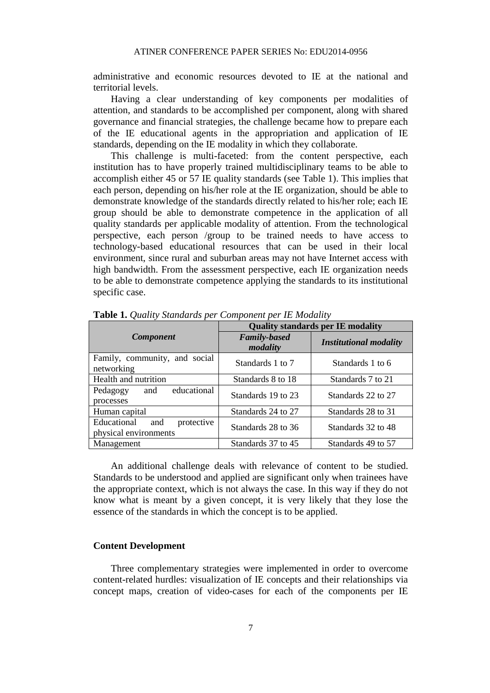administrative and economic resources devoted to IE at the national and territorial levels.

Having a clear understanding of key components per modalities of attention, and standards to be accomplished per component, along with shared governance and financial strategies, the challenge became how to prepare each of the IE educational agents in the appropriation and application of IE standards, depending on the IE modality in which they collaborate.

This challenge is multi-faceted: from the content perspective, each institution has to have properly trained multidisciplinary teams to be able to accomplish either 45 or 57 IE quality standards (see Table 1). This implies that each person, depending on his/her role at the IE organization, should be able to demonstrate knowledge of the standards directly related to his/her role; each IE group should be able to demonstrate competence in the application of all quality standards per applicable modality of attention. From the technological perspective, each person /group to be trained needs to have access to technology-based educational resources that can be used in their local environment, since rural and suburban areas may not have Internet access with high bandwidth. From the assessment perspective, each IE organization needs to be able to demonstrate competence applying the standards to its institutional specific case.

|                                                           | <b>Quality standards per IE modality</b> |                               |
|-----------------------------------------------------------|------------------------------------------|-------------------------------|
| <b>Component</b>                                          | <b>Family-based</b><br>modality          | <b>Institutional modality</b> |
| Family, community, and social<br>networking               | Standards 1 to 7                         | Standards 1 to 6              |
| Health and nutrition                                      | Standards 8 to 18                        | Standards 7 to 21             |
| educational<br>Pedagogy<br>and<br>processes               | Standards 19 to 23                       | Standards 22 to 27            |
| Human capital                                             | Standards 24 to 27                       | Standards 28 to 31            |
| Educational<br>protective<br>and<br>physical environments | Standards 28 to 36                       | Standards 32 to 48            |
| Management                                                | Standards 37 to 45                       | Standards 49 to 57            |

**Table 1.** *Quality Standards per Component per IE Modality* 

An additional challenge deals with relevance of content to be studied. Standards to be understood and applied are significant only when trainees have the appropriate context, which is not always the case. In this way if they do not know what is meant by a given concept, it is very likely that they lose the essence of the standards in which the concept is to be applied.

#### **Content Development**

Three complementary strategies were implemented in order to overcome content-related hurdles: visualization of IE concepts and their relationships via concept maps, creation of video-cases for each of the components per IE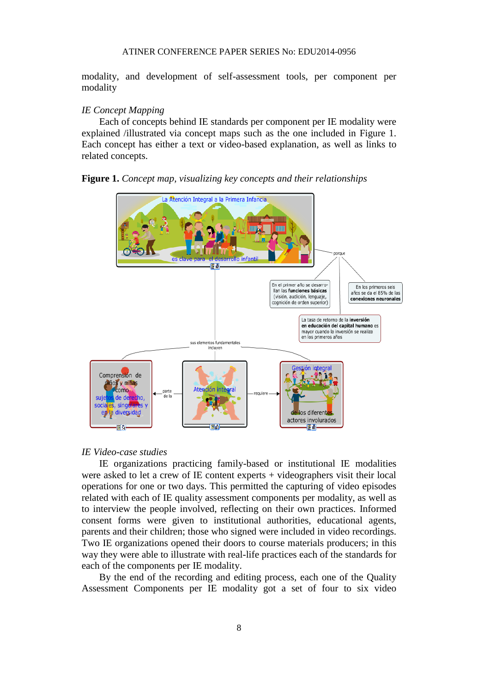modality, and development of self-assessment tools, per component per modality

#### *IE Concept Mapping*

Each of concepts behind IE standards per component per IE modality were explained /illustrated via concept maps such as the one included in Figure 1. Each concept has either a text or video-based explanation, as well as links to related concepts.

#### **Figure 1.** *Concept map, visualizing key concepts and their relationships*



#### *IE Video-case studies*

IE organizations practicing family-based or institutional IE modalities were asked to let a crew of IE content experts + videographers visit their local operations for one or two days. This permitted the capturing of video episodes related with each of IE quality assessment components per modality, as well as to interview the people involved, reflecting on their own practices. Informed consent forms were given to institutional authorities, educational agents, parents and their children; those who signed were included in video recordings. Two IE organizations opened their doors to course materials producers; in this way they were able to illustrate with real-life practices each of the standards for each of the components per IE modality.

By the end of the recording and editing process, each one of the Quality Assessment Components per IE modality got a set of four to six video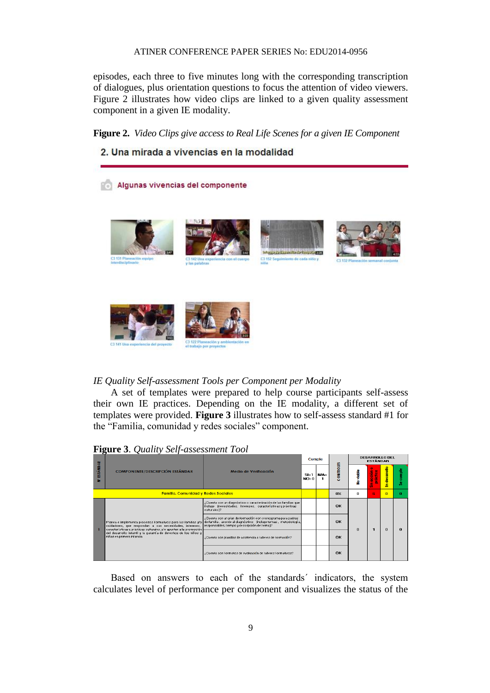episodes, each three to five minutes long with the corresponding transcription of dialogues, plus orientation questions to focus the attention of video viewers. Figure 2 illustrates how video clips are linked to a given quality assessment component in a given IE modality.

**Figure 2.** *Video Clips give access to Real Life Scenes for a given IE Component*



#### *IE Quality Self-assessment Tools per Component per Modality*

A set of templates were prepared to help course participants self-assess their own IE practices. Depending on the IE modality, a different set of templates were provided. **Figure 3** illustrates how to self-assess standard #1 for the "Familia, comunidad y redes sociales" component.

#### **Figure 3**. *Quality Self-assessment Tool*



Based on answers to each of the standards´ indicators, the system calculates level of performance per component and visualizes the status of the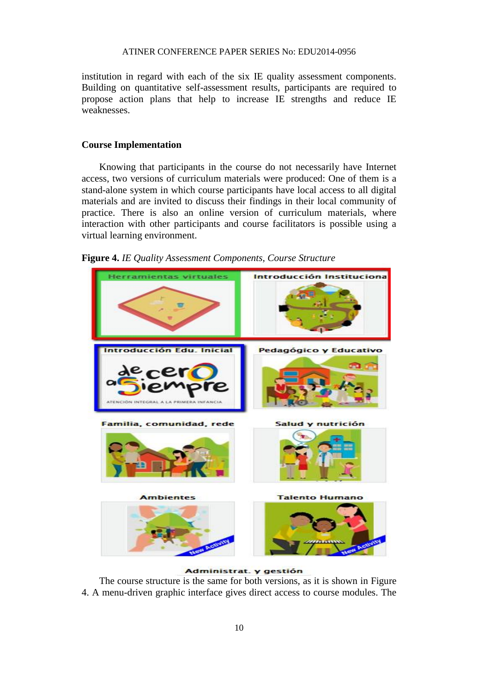institution in regard with each of the six IE quality assessment components. Building on quantitative self-assessment results, participants are required to propose action plans that help to increase IE strengths and reduce IE weaknesses.

#### **Course Implementation**

Knowing that participants in the course do not necessarily have Internet access, two versions of curriculum materials were produced: One of them is a stand-alone system in which course participants have local access to all digital materials and are invited to discuss their findings in their local community of practice. There is also an online version of curriculum materials, where interaction with other participants and course facilitators is possible using a virtual learning environment.





Administrat. y gestión

The course structure is the same for both versions, as it is shown in Figure 4. A menu-driven graphic interface gives direct access to course modules. The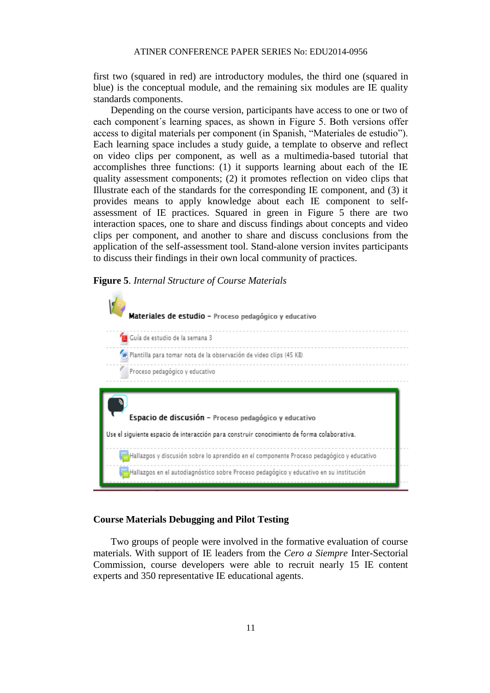first two (squared in red) are introductory modules, the third one (squared in blue) is the conceptual module, and the remaining six modules are IE quality standards components.

Depending on the course version, participants have access to one or two of each component´s learning spaces, as shown in Figure 5. Both versions offer access to digital materials per component (in Spanish, "Materiales de estudio"). Each learning space includes a study guide, a template to observe and reflect on video clips per component, as well as a multimedia-based tutorial that accomplishes three functions: (1) it supports learning about each of the IE quality assessment components; (2) it promotes reflection on video clips that Illustrate each of the standards for the corresponding IE component, and (3) it provides means to apply knowledge about each IE component to selfassessment of IE practices. Squared in green in Figure 5 there are two interaction spaces, one to share and discuss findings about concepts and video clips per component, and another to share and discuss conclusions from the application of the self-assessment tool. Stand-alone version invites participants to discuss their findings in their own local community of practices.

#### **Figure 5**. *Internal Structure of Course Materials*



#### **Course Materials Debugging and Pilot Testing**

Two groups of people were involved in the formative evaluation of course materials. With support of IE leaders from the *Cero a Siempre* Inter-Sectorial Commission, course developers were able to recruit nearly 15 IE content experts and 350 representative IE educational agents.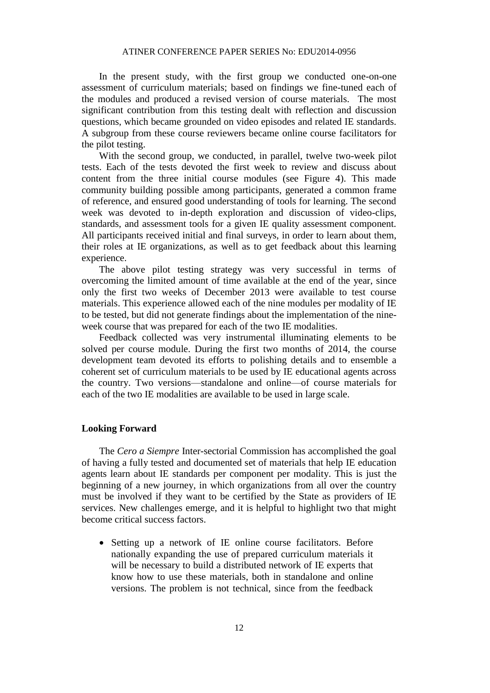In the present study, with the first group we conducted one-on-one assessment of curriculum materials; based on findings we fine-tuned each of the modules and produced a revised version of course materials. The most significant contribution from this testing dealt with reflection and discussion questions, which became grounded on video episodes and related IE standards. A subgroup from these course reviewers became online course facilitators for the pilot testing.

With the second group, we conducted, in parallel, twelve two-week pilot tests. Each of the tests devoted the first week to review and discuss about content from the three initial course modules (see Figure 4). This made community building possible among participants, generated a common frame of reference, and ensured good understanding of tools for learning. The second week was devoted to in-depth exploration and discussion of video-clips, standards, and assessment tools for a given IE quality assessment component. All participants received initial and final surveys, in order to learn about them, their roles at IE organizations, as well as to get feedback about this learning experience.

The above pilot testing strategy was very successful in terms of overcoming the limited amount of time available at the end of the year, since only the first two weeks of December 2013 were available to test course materials. This experience allowed each of the nine modules per modality of IE to be tested, but did not generate findings about the implementation of the nineweek course that was prepared for each of the two IE modalities.

Feedback collected was very instrumental illuminating elements to be solved per course module. During the first two months of 2014, the course development team devoted its efforts to polishing details and to ensemble a coherent set of curriculum materials to be used by IE educational agents across the country. Two versions—standalone and online—of course materials for each of the two IE modalities are available to be used in large scale.

#### **Looking Forward**

The *Cero a Siempre* Inter-sectorial Commission has accomplished the goal of having a fully tested and documented set of materials that help IE education agents learn about IE standards per component per modality. This is just the beginning of a new journey, in which organizations from all over the country must be involved if they want to be certified by the State as providers of IE services. New challenges emerge, and it is helpful to highlight two that might become critical success factors.

• Setting up a network of IE online course facilitators. Before nationally expanding the use of prepared curriculum materials it will be necessary to build a distributed network of IE experts that know how to use these materials, both in standalone and online versions. The problem is not technical, since from the feedback